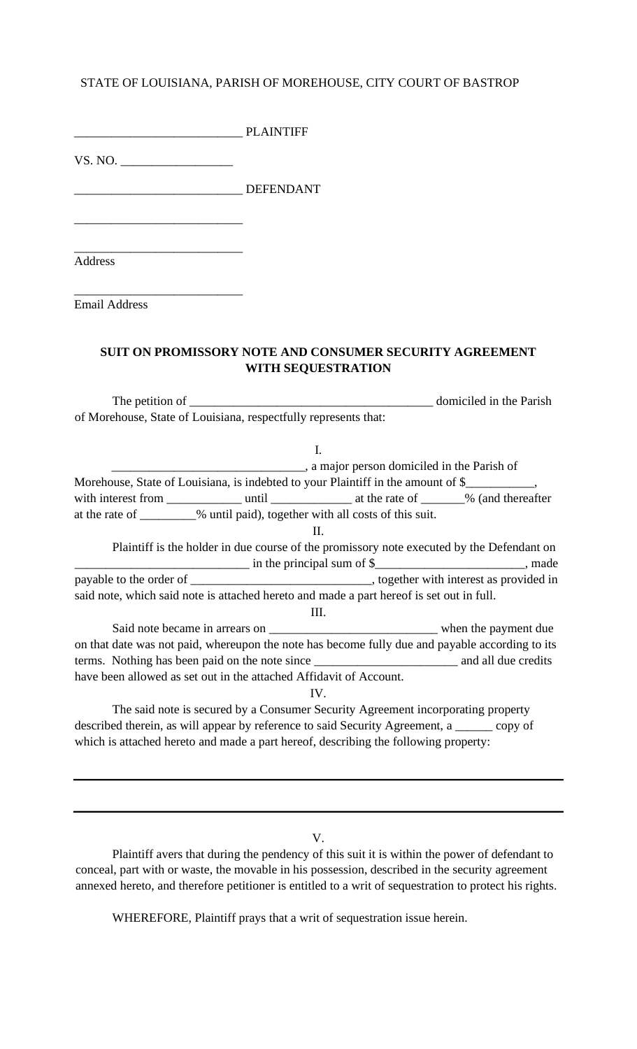# STATE OF LOUISIANA, PARISH OF MOREHOUSE, CITY COURT OF BASTROP

PLAINTIFF

VS. NO.

\_\_\_\_\_\_\_\_\_\_\_\_\_\_\_\_\_\_\_\_\_\_\_\_\_\_\_

\_\_\_\_\_\_\_\_\_\_\_\_\_\_\_\_\_\_\_\_\_\_\_\_\_\_\_ DEFENDANT

\_\_\_\_\_\_\_\_\_\_\_\_\_\_\_\_\_\_\_\_\_\_\_\_\_\_\_ Address

\_\_\_\_\_\_\_\_\_\_\_\_\_\_\_\_\_\_\_\_\_\_\_\_\_\_\_ Email Address

## **SUIT ON PROMISSORY NOTE AND CONSUMER SECURITY AGREEMENT WITH SEQUESTRATION**

The petition of \_\_\_\_\_\_\_\_\_\_\_\_\_\_\_\_\_\_\_\_\_\_\_\_\_\_\_\_\_\_\_\_\_\_\_\_\_\_\_ domiciled in the Parish of Morehouse, State of Louisiana, respectfully represents that:

I. \_\_\_\_\_\_\_\_\_\_\_\_\_\_\_\_\_\_\_\_\_\_\_\_\_\_\_\_\_\_\_, a major person domiciled in the Parish of Morehouse, State of Louisiana, is indebted to your Plaintiff in the amount of \$\_\_\_\_\_\_\_\_ with interest from \_\_\_\_\_\_\_\_\_\_\_\_ until \_\_\_\_\_\_\_\_\_\_\_\_\_ at the rate of \_\_\_\_\_\_\_% (and thereafter at the rate of \_\_\_\_\_\_\_\_\_% until paid), together with all costs of this suit. II. Plaintiff is the holder in due course of the promissory note executed by the Defendant on \_\_\_\_\_\_\_\_\_\_\_\_\_\_\_\_\_\_\_\_\_\_\_\_\_\_\_\_ in the principal sum of \$\_\_\_\_\_\_\_\_\_\_\_\_\_\_\_\_\_\_\_\_\_\_\_\_, made payable to the order of \_\_\_\_\_\_\_\_\_\_\_\_\_\_\_\_\_\_\_\_\_\_\_\_\_\_\_\_\_\_\_\_, together with interest as provided in said note, which said note is attached hereto and made a part hereof is set out in full. III. Said note became in arrears on \_\_\_\_\_\_\_\_\_\_\_\_\_\_\_\_\_\_\_\_\_\_\_\_\_\_\_ when the payment due on that date was not paid, whereupon the note has become fully due and payable according to its terms. Nothing has been paid on the note since \_\_\_\_\_\_\_\_\_\_\_\_\_\_\_\_\_\_\_\_\_\_\_ and all due credits have been allowed as set out in the attached Affidavit of Account.

IV.

The said note is secured by a Consumer Security Agreement incorporating property described therein, as will appear by reference to said Security Agreement, a \_\_\_\_\_\_ copy of which is attached hereto and made a part hereof, describing the following property:

V.

Plaintiff avers that during the pendency of this suit it is within the power of defendant to conceal, part with or waste, the movable in his possession, described in the security agreement annexed hereto, and therefore petitioner is entitled to a writ of sequestration to protect his rights.

WHEREFORE, Plaintiff prays that a writ of sequestration issue herein.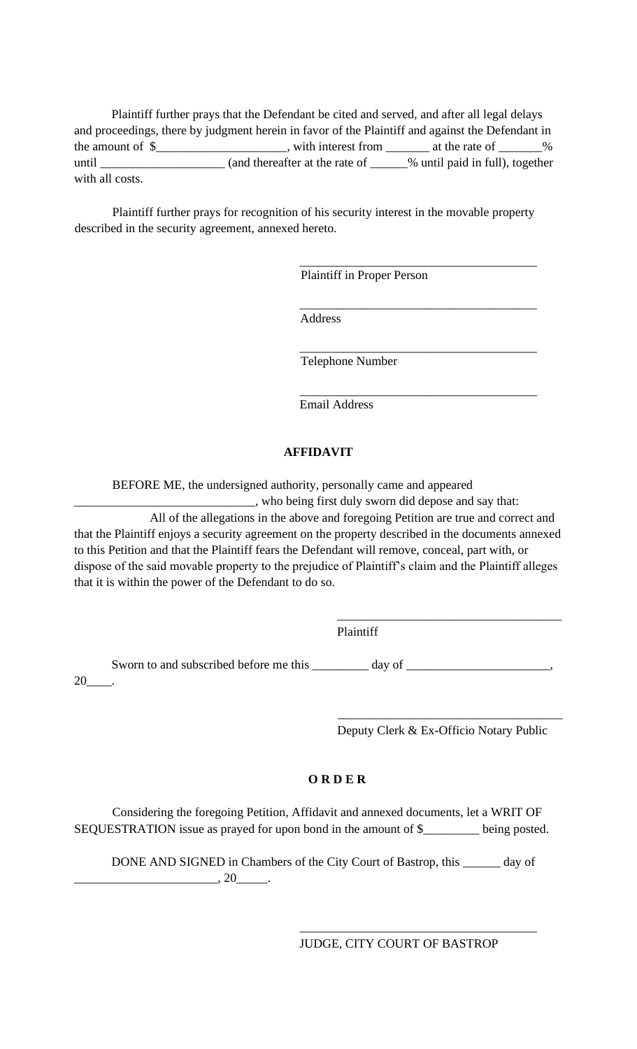Plaintiff further prays that the Defendant be cited and served, and after all legal delays and proceedings, there by judgment herein in favor of the Plaintiff and against the Defendant in the amount of  $\frac{1}{2}$   $\frac{1}{2}$   $\frac{1}{2}$   $\frac{1}{2}$   $\frac{1}{2}$   $\frac{1}{2}$   $\frac{1}{2}$   $\frac{1}{2}$   $\frac{1}{2}$   $\frac{1}{2}$   $\frac{1}{2}$   $\frac{1}{2}$   $\frac{1}{2}$   $\frac{1}{2}$   $\frac{1}{2}$   $\frac{1}{2}$   $\frac{1}{2}$   $\frac{1}{2}$   $\frac{1}{2}$   $\frac{1}{2}$   $\frac{1}{2$ until \_\_\_\_\_\_\_\_\_\_\_\_\_\_\_\_\_\_\_\_\_\_\_\_ (and thereafter at the rate of \_\_\_\_\_\_% until paid in full), together with all costs.

Plaintiff further prays for recognition of his security interest in the movable property described in the security agreement, annexed hereto.

Plaintiff in Proper Person

\_\_\_\_\_\_\_\_\_\_\_\_\_\_\_\_\_\_\_\_\_\_\_\_\_\_\_\_\_\_\_\_\_\_\_\_\_\_

\_\_\_\_\_\_\_\_\_\_\_\_\_\_\_\_\_\_\_\_\_\_\_\_\_\_\_\_\_\_\_\_\_\_\_\_\_\_

\_\_\_\_\_\_\_\_\_\_\_\_\_\_\_\_\_\_\_\_\_\_\_\_\_\_\_\_\_\_\_\_\_\_\_\_\_\_

\_\_\_\_\_\_\_\_\_\_\_\_\_\_\_\_\_\_\_\_\_\_\_\_\_\_\_\_\_\_\_\_\_\_\_\_\_\_ Address

Telephone Number

Email Address

### **AFFIDAVIT**

BEFORE ME, the undersigned authority, personally came and appeared

\_\_\_\_\_\_\_\_\_\_\_\_\_\_\_\_\_\_\_\_\_\_\_\_\_\_\_\_\_, who being first duly sworn did depose and say that: All of the allegations in the above and foregoing Petition are true and correct and that the Plaintiff enjoys a security agreement on the property described in the documents annexed to this Petition and that the Plaintiff fears the Defendant will remove, conceal, part with, or dispose of the said movable property to the prejudice of Plaintiff's claim and the Plaintiff alleges that it is within the power of the Defendant to do so.

Plaintiff

Sworn to and subscribed before me this \_\_\_\_\_\_\_\_ day of \_\_\_\_\_\_\_\_\_\_\_\_\_\_\_\_\_\_\_,  $20$ 

Deputy Clerk & Ex-Officio Notary Public

\_\_\_\_\_\_\_\_\_\_\_\_\_\_\_\_\_\_\_\_\_\_\_\_\_\_\_\_\_\_\_\_\_\_\_\_

\_\_\_\_\_\_\_\_\_\_\_\_\_\_\_\_\_\_\_\_\_\_\_\_\_\_\_\_\_\_\_\_\_\_\_\_

### **O R D E R**

Considering the foregoing Petition, Affidavit and annexed documents, let a WRIT OF SEQUESTRATION issue as prayed for upon bond in the amount of \$\_\_\_\_\_\_\_\_\_ being posted.

DONE AND SIGNED in Chambers of the City Court of Bastrop, this \_\_\_\_\_\_ day of  $\frac{1}{20}$ , 20

JUDGE, CITY COURT OF BASTROP

\_\_\_\_\_\_\_\_\_\_\_\_\_\_\_\_\_\_\_\_\_\_\_\_\_\_\_\_\_\_\_\_\_\_\_\_\_\_